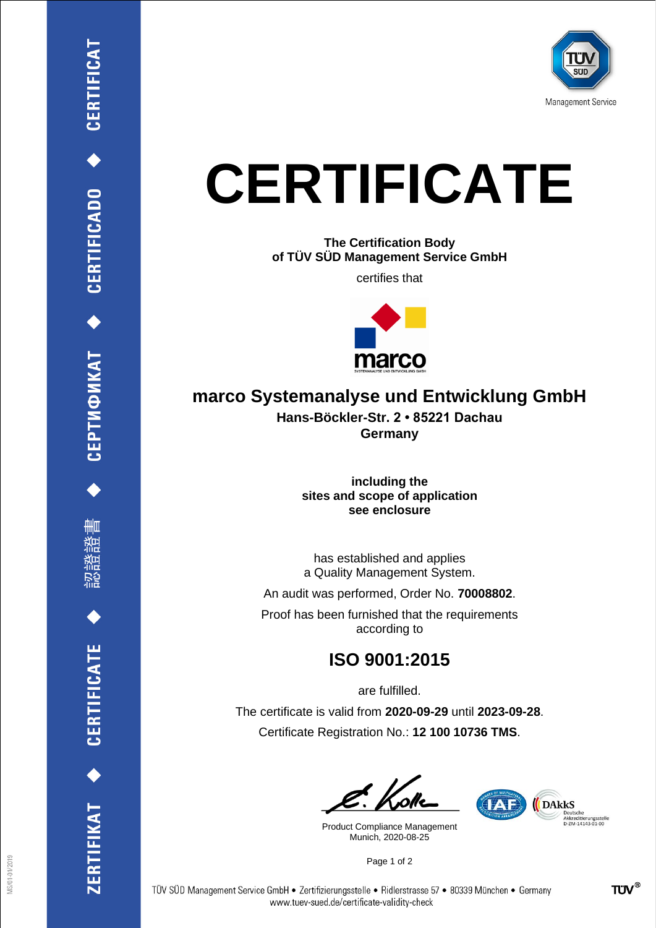

## **CERTIFICATE**

**The Certification Body of TÜV SÜD Management Service GmbH**

certifies that



## **marco Systemanalyse und Entwicklung GmbH**

**Hans-Böckler-Str. 2 • 85221 Dachau Germany**

> **including the sites and scope of application see enclosure**

> has established and applies a Quality Management System.

An audit was performed, Order No. **70008802**.

Proof has been furnished that the requirements according to

## **ISO 9001:2015**

are fulfilled.

The certificate is valid from **2020-09-29** until **2023-09-28**. Certificate Registration No.: **12 100 10736 TMS**.

Product Compliance Management Munich, 2020-08-25



Page 1 of 2

CEPTИФИКАТ ◆ CERTIFICADO ◆ CERTIFICAT

刪